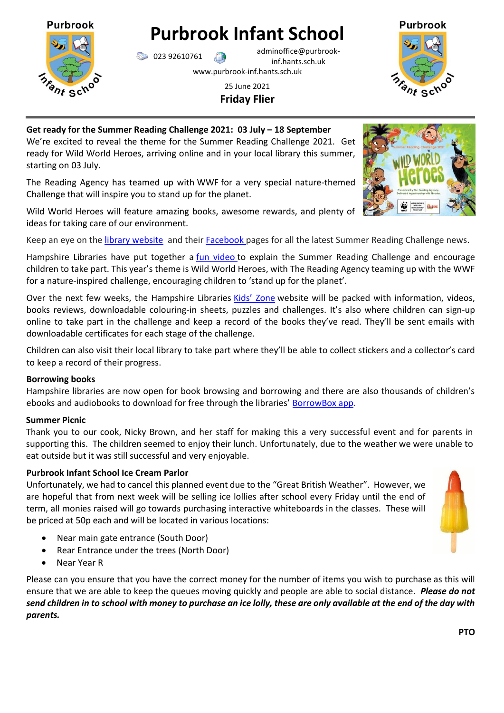

# **Purbrook Infant School**

023 92610761 adminoffice@purbrookinf.hants.sch.uk www.purbrook-inf.hants.sch.uk

# 25 June 2021 **Friday Flier**



## **Get ready for the Summer Reading Challenge 2021: 03 July – 18 September** We're excited to reveal the theme for the Summer Reading Challenge 2021. Get

ready for Wild World Heroes, arriving online and in your local library this summer, starting on 03 July.

The Reading Agency has teamed up with WWF for a very special nature-themed Challenge that will inspire you to stand up for the planet.

Wild World Heroes will feature amazing books, awesome rewards, and plenty of ideas for taking care of our environment.

Keep an eye on the [library website](https://www.hants.gov.uk/librariesandarchives/kids-zone) and their [Facebook](https://www.facebook.com/hantslibraries) pages for all the latest Summer Reading Challenge news.

Hampshire Libraries have put together a *[fun video](https://www.youtube.com/watch?v=ZcBpk7STmXA)* to explain the Summer Reading Challenge and encourage children to take part. This year's theme is Wild World Heroes, with The Reading Agency teaming up with the WWF for a nature-inspired challenge, encouraging children to 'stand up for the planet'.

Over the next few weeks, the Hampshire Libraries [Kids' Zone](https://www.hants.gov.uk/librariesandarchives/kids-zone) website will be packed with information, videos, books reviews, downloadable colouring-in sheets, puzzles and challenges. It's also where children can sign-up online to take part in the challenge and keep a record of the books they've read. They'll be sent emails with downloadable certificates for each stage of the challenge.

Children can also visit their local library to take part where they'll be able to collect stickers and a collector's card to keep a record of their progress.

# **Borrowing books**

Hampshire libraries are now open for book browsing and borrowing and there are also thousands of children's ebooks and audiobooks to download for free through the libraries' [BorrowBox app.](https://fe.bolindadigital.com/wldcs_bol_fo/b2i/mainPage.html?b2bSite=6394)

# **Summer Picnic**

Thank you to our cook, Nicky Brown, and her staff for making this a very successful event and for parents in supporting this. The children seemed to enjoy their lunch. Unfortunately, due to the weather we were unable to eat outside but it was still successful and very enjoyable.

# **Purbrook Infant School Ice Cream Parlor**

Unfortunately, we had to cancel this planned event due to the "Great British Weather". However, we are hopeful that from next week will be selling ice lollies after school every Friday until the end of term, all monies raised will go towards purchasing interactive whiteboards in the classes. These will be priced at 50p each and will be located in various locations:

- Near main gate entrance (South Door)
- Rear Entrance under the trees (North Door)
- Near Year R

Please can you ensure that you have the correct money for the number of items you wish to purchase as this will ensure that we are able to keep the queues moving quickly and people are able to social distance. *Please do not send children in to school with money to purchase an ice lolly, these are only available at the end of the day with parents.*